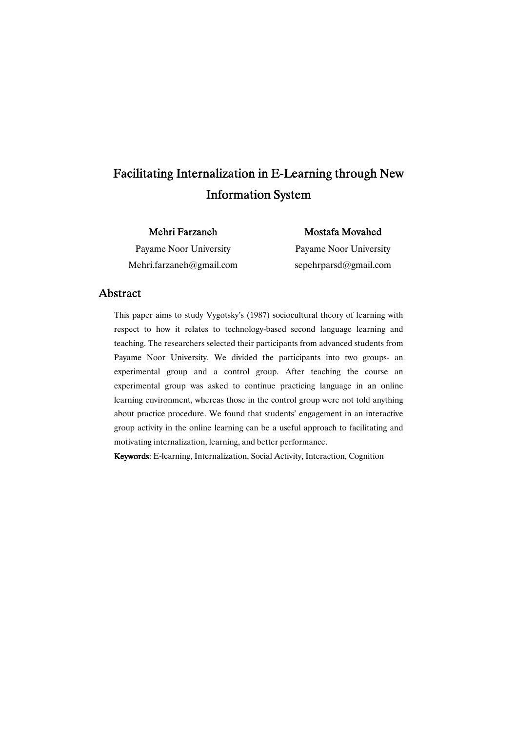# Facilitating Internalization in E-Learning through New **Information System**

### Mehri Farzaneh

Payame Noor University Mehri.farzaneh@gmail.com Mostafa Movahed

Payame Noor University sepehrparsd@gmail.com

### Abstract

This paper aims to study Vygotsky's (1987) sociocultural theory of learning with respect to how it relates to technology-based second language learning and teaching. The researchers selected their participants from advanced students from Payame Noor University. We divided the participants into two groups- an experimental group and a control group. After teaching the course an experimental group was asked to continue practicing language in an online learning environment, whereas those in the control group were not told anything about practice procedure. We found that students' engagement in an interactive group activity in the online learning can be a useful approach to facilitating and motivating internalization, learning, and better performance.

Keywords: E-learning, Internalization, Social Activity, Interaction, Cognition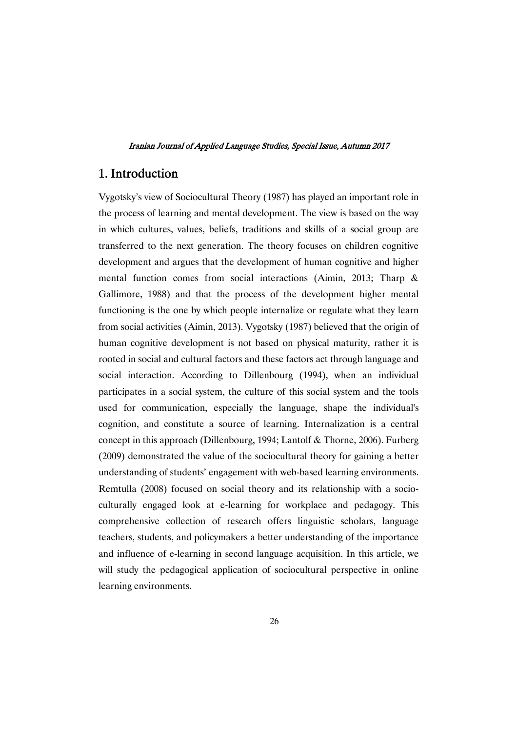## 1.Introduction

Vygotsky's view of Sociocultural Theory (1987) has played an important role in the process of learning and mental development. The view is based on the way in which cultures, values, beliefs, traditions and skills of a social group are transferred to the next generation. The theory focuses on children cognitive development and argues that the development of human cognitive and higher mental function comes from social interactions (Aimin, 2013; Tharp & Gallimore, 1988) and that the process of the development higher mental functioning is the one by which people internalize or regulate what they learn from social activities (Aimin, 2013). Vygotsky (1987) believed that the origin of human cognitive development is not based on physical maturity, rather it is rooted in social and cultural factors and these factors act through language and social interaction. According to Dillenbourg (1994), when an individual participates in a social system, the culture of this social system and the tools used for communication, especially the language, shape the individual's cognition, and constitute a source of learning. Internalization is a central concept in this approach (Dillenbourg, 1994; Lantolf & Thorne, 2006). Furberg (2009) demonstrated the value of the sociocultural theory for gaining a better understanding of students' engagement with web-based learning environments. Remtulla (2008) focused on social theory and its relationship with a socioculturally engaged look at e-learning for workplace and pedagogy. This comprehensive collection of research offers linguistic scholars, language teachers, students, and policymakers a better understanding of the importance and influence of e-learning in second language acquisition. In this article, we will study the pedagogical application of sociocultural perspective in online learning environments.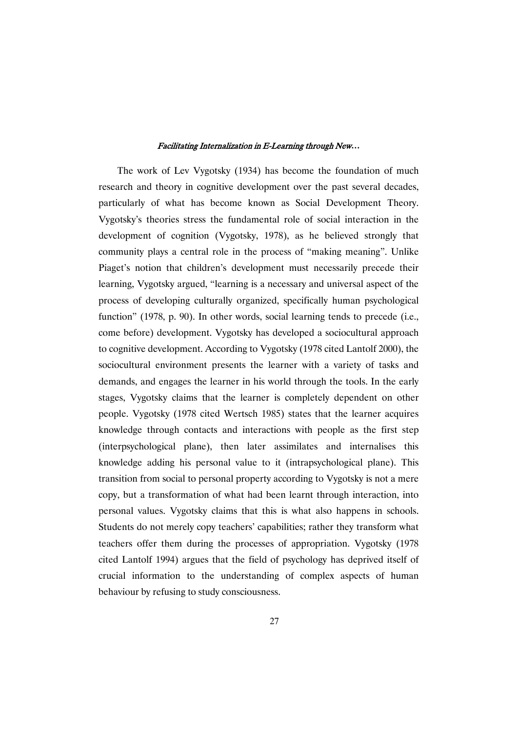The work of Lev Vygotsky (1934) has become the foundation of much research and theory in cognitive development over the past several decades, particularly of what has become known as Social Development Theory. Vygotsky's theories stress the fundamental role of social interaction in the development of cognition (Vygotsky, 1978), as he believed strongly that community plays a central role in the process of "making meaning". Unlike Piaget's notion that children's development must necessarily precede their learning, Vygotsky argued, "learning is a necessary and universal aspect of the process of developing culturally organized, specifically human psychological function" (1978, p. 90). In other words, social learning tends to precede (i.e., come before) development. Vygotsky has developed a sociocultural approach to cognitive development. According to Vygotsky (1978 cited Lantolf 2000), the sociocultural environment presents the learner with a variety of tasks and demands, and engages the learner in his world through the tools. In the early stages, Vygotsky claims that the learner is completely dependent on other people. Vygotsky (1978 cited Wertsch 1985) states that the learner acquires knowledge through contacts and interactions with people as the first step (interpsychological plane), then later assimilates and internalises this knowledge adding his personal value to it (intrapsychological plane). This transition from social to personal property according to Vygotsky is not a mere copy, but a transformation of what had been learnt through interaction, into personal values. Vygotsky claims that this is what also happens in schools. Students do not merely copy teachers' capabilities; rather they transform what teachers offer them during the processes of appropriation. Vygotsky (1978 cited Lantolf 1994) argues that the field of psychology has deprived itself of crucial information to the understanding of complex aspects of human behaviour by refusing to study consciousness.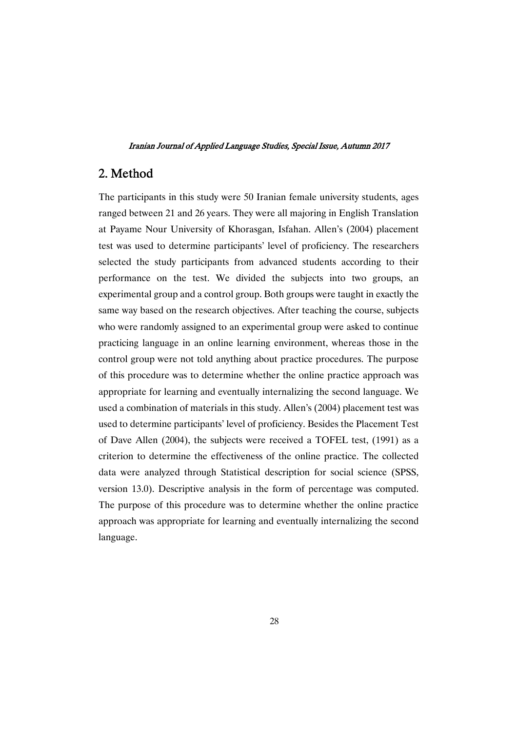### 2.Method

The participants in this study were 50 Iranian female university students, ages ranged between 21 and 26 years. They were all majoring in English Translation at Payame Nour University of Khorasgan, Isfahan. Allen's (2004) placement test was used to determine participants' level of proficiency. The researchers selected the study participants from advanced students according to their performance on the test. We divided the subjects into two groups, an experimental group and a control group. Both groups were taught in exactly the same way based on the research objectives. After teaching the course, subjects who were randomly assigned to an experimental group were asked to continue practicing language in an online learning environment, whereas those in the control group were not told anything about practice procedures. The purpose of this procedure was to determine whether the online practice approach was appropriate for learning and eventually internalizing the second language. We used a combination of materials in this study. Allen's (2004) placement test was used to determine participants' level of proficiency. Besides the Placement Test of Dave Allen (2004), the subjects were received a TOFEL test, (1991) as a criterion to determine the effectiveness of the online practice. The collected data were analyzed through Statistical description for social science (SPSS, version 13.0). Descriptive analysis in the form of percentage was computed. The purpose of this procedure was to determine whether the online practice approach was appropriate for learning and eventually internalizing the second language.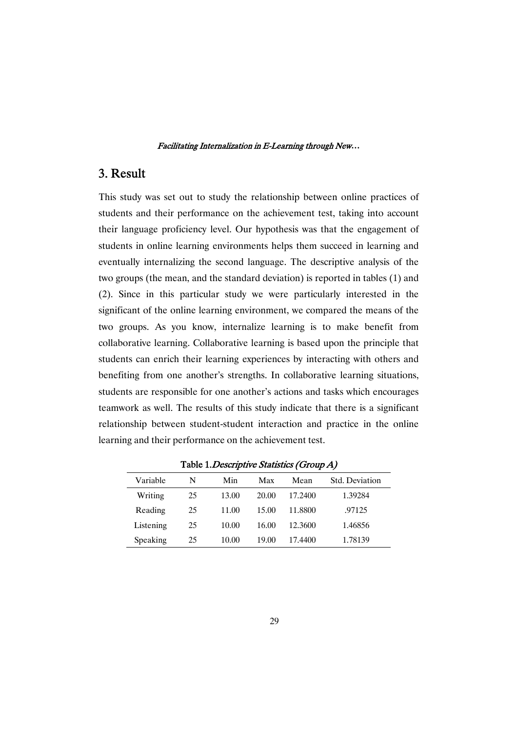### 3.Result

This study was set out to study the relationship between online practices of students and their performance on the achievement test, taking into account their language proficiency level. Our hypothesis was that the engagement of students in online learning environments helps them succeed in learning and eventually internalizing the second language. The descriptive analysis of the two groups (the mean, and the standard deviation) is reported in tables (1) and (2). Since in this particular study we were particularly interested in the significant of the online learning environment, we compared the means of the two groups. As you know, internalize learning is to make benefit from collaborative learning. Collaborative learning is based upon the principle that students can enrich their learning experiences by interacting with others and benefiting from one another's strengths. In collaborative learning situations, students are responsible for one another's actions and tasks which encourages teamwork as well. The results of this study indicate that there is a significant relationship between student-student interaction and practice in the online learning and their performance on the achievement test.

| Variable  | N  | Min   | Max   | Mean    | Std. Deviation |  |  |
|-----------|----|-------|-------|---------|----------------|--|--|
| Writing   | 25 | 13.00 | 20.00 | 17.2400 | 1.39284        |  |  |
| Reading   | 25 | 11.00 | 15.00 | 11.8800 | .97125         |  |  |
| Listening | 25 | 10.00 | 16.00 | 12.3600 | 1.46856        |  |  |
| Speaking  | 25 | 10.00 | 19.00 | 17.4400 | 1.78139        |  |  |

Table 1. Descriptive Statistics (Group A)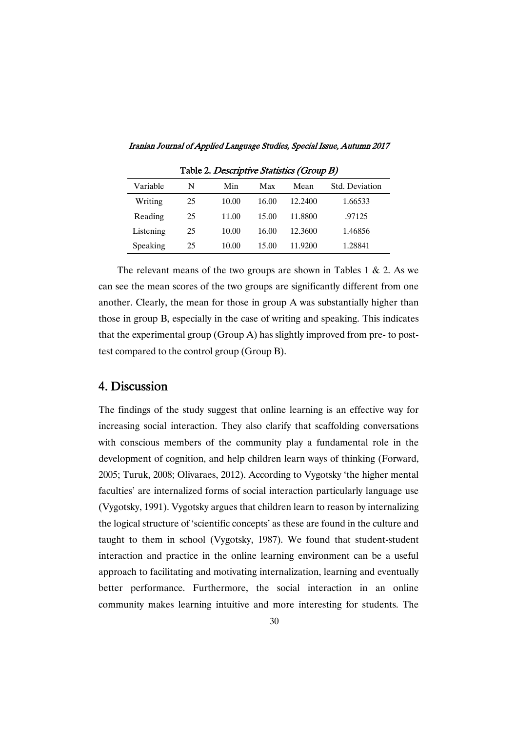| Table 2. Descriptive Statistics (Group B) |    |       |       |         |                |  |  |  |
|-------------------------------------------|----|-------|-------|---------|----------------|--|--|--|
| Variable                                  | N  | Min   | Max   | Mean    | Std. Deviation |  |  |  |
| Writing                                   | 25 | 10.00 | 16.00 | 12.2400 | 1.66533        |  |  |  |
| Reading                                   | 25 | 11.00 | 15.00 | 11.8800 | .97125         |  |  |  |
| Listening                                 | 25 | 10.00 | 16.00 | 12.3600 | 1.46856        |  |  |  |
| Speaking                                  | 25 | 10.00 | 15.00 | 11.9200 | 1.28841        |  |  |  |

Iranian Journal of Applied Language Studies, Special Issue, Autumn 2017

The relevant means of the two groups are shown in Tables 1  $\&$  2. As we can see the mean scores of the two groups are significantly different from one another. Clearly, the mean for those in group A was substantially higher than those in group B, especially in the case of writing and speaking. This indicates that the experimental group (Group A) has slightly improved from pre- to posttest compared to the control group (Group B).

# 4.Discussion

The findings of the study suggest that online learning is an effective way for increasing social interaction. They also clarify that scaffolding conversations with conscious members of the community play a fundamental role in the development of cognition, and help children learn ways of thinking (Forward, 2005; Turuk, 2008; Olivaraes, 2012). According to Vygotsky 'the higher mental faculties' are internalized forms of social interaction particularly language use (Vygotsky, 1991). Vygotsky argues that children learn to reason by internalizing the logical structure of 'scientific concepts' as these are found in the culture and taught to them in school (Vygotsky, 1987). We found that student-student interaction and practice in the online learning environment can be a useful approach to facilitating and motivating internalization, learning and eventually better performance. Furthermore, the social interaction in an online community makes learning intuitive and more interesting for students. The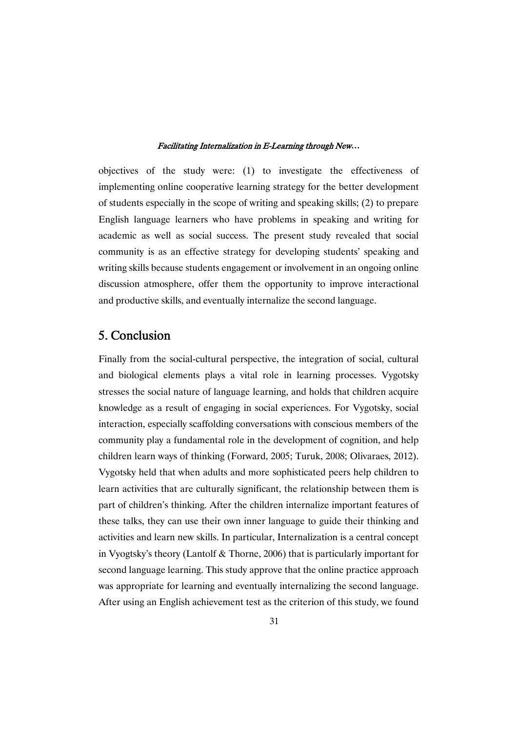objectives of the study were: (1) to investigate the effectiveness of implementing online cooperative learning strategy for the better development of students especially in the scope of writing and speaking skills; (2) to prepare English language learners who have problems in speaking and writing for academic as well as social success. The present study revealed that social community is as an effective strategy for developing students' speaking and writing skills because students engagement or involvement in an ongoing online discussion atmosphere, offer them the opportunity to improve interactional and productive skills, and eventually internalize the second language.

## 5.Conclusion

Finally from the social-cultural perspective, the integration of social, cultural and biological elements plays a vital role in learning processes. Vygotsky stresses the social nature of language learning, and holds that children acquire knowledge as a result of engaging in social experiences. For Vygotsky, social interaction, especially scaffolding conversations with conscious members of the community play a fundamental role in the development of cognition, and help children learn ways of thinking (Forward, 2005; Turuk, 2008; Olivaraes, 2012). Vygotsky held that when adults and more sophisticated peers help children to learn activities that are culturally significant, the relationship between them is part of children's thinking. After the children internalize important features of these talks, they can use their own inner language to guide their thinking and activities and learn new skills. In particular, Internalization is a central concept in Vyogtsky's theory (Lantolf & Thorne, 2006) that is particularly important for second language learning. This study approve that the online practice approach was appropriate for learning and eventually internalizing the second language. After using an English achievement test as the criterion of this study, we found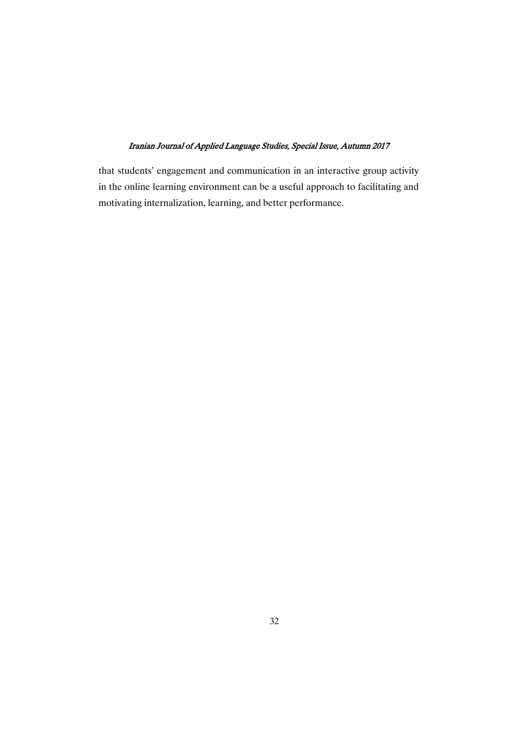that students' engagement and communication in an interactive group activity in the online learning environment can be a useful approach to facilitating and motivating internalization, learning, and better performance.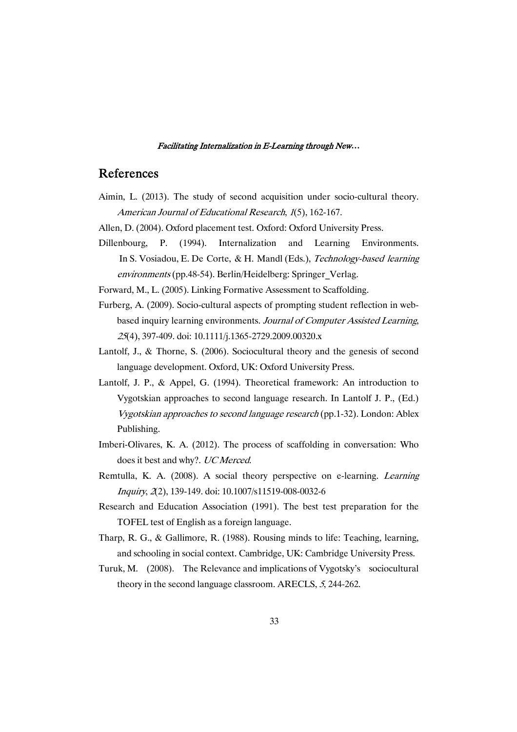### References

- Aimin, L. (2013). The study of second acquisition under socio-cultural theory. American Journal of Educational Research, <sup>1</sup>(5), 162-167.
- Allen, D. (2004). Oxford placement test. Oxford: Oxford University Press.
- Dillenbourg, P. (1994). Internalization and Learning Environments. In S. Vosiadou, E. De Corte, & H. Mandl (Eds.), Technology-based learning environments (pp.48-54). Berlin/Heidelberg: Springer\_Verlag.

Forward, M., L. (2005). Linking Formative Assessment to Scaffolding.

- Furberg, A. (2009). Socio-cultural aspects of prompting student reflection in webbased inquiry learning environments. Journal of Computer Assisted Learning, <sup>25</sup>(4), 397-409. doi: 10.1111/j.1365-2729.2009.00320.x
- Lantolf, J., & Thorne, S. (2006). Sociocultural theory and the genesis of second language development. Oxford, UK: Oxford University Press.
- Lantolf, J. P., & Appel, G. (1994). Theoretical framework: An introduction to Vygotskian approaches to second language research. In Lantolf J. P., (Ed.) Vygotskian approaches to second language research (pp.1-32). London: Ablex Publishing.
- Imberi-Olivares, K. A. (2012). The process of scaffolding in conversation: Who does it best and why?. UC Merced.
- Remtulla, K. A. (2008). A social theory perspective on e-learning. Learning Inquiry, <sup>2</sup>(2), 139-149. doi: 10.1007/s11519-008-0032-6
- Research and Education Association (1991). The best test preparation for the TOFEL test of English as a foreign language.
- Tharp, R. G., & Gallimore, R. (1988). Rousing minds to life: Teaching, learning, and schooling in social context. Cambridge, UK: Cambridge University Press.
- Turuk, M. (2008). The Relevance and implications of Vygotsky's sociocultural theory in the second language classroom. ARECLS, <sup>5</sup>, 244-262.